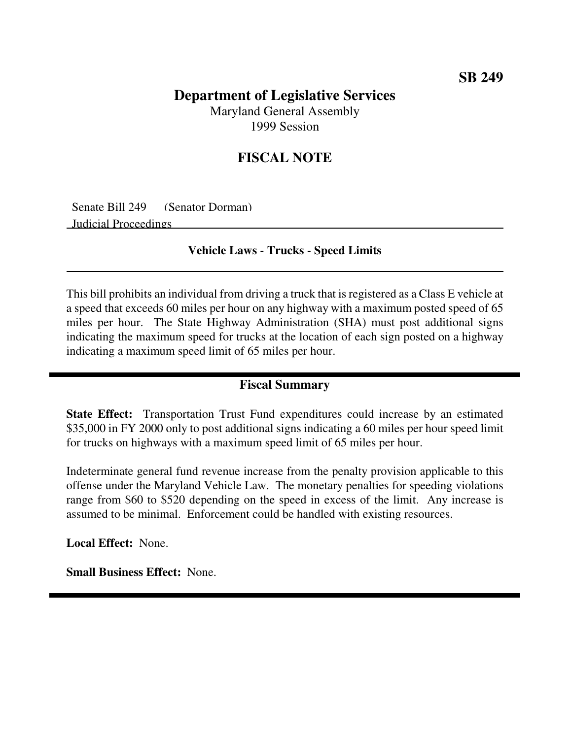### **SB 249**

# **Department of Legislative Services**

Maryland General Assembly 1999 Session

## **FISCAL NOTE**

Senate Bill 249 (Senator Dorman) Judicial Proceedings

#### **Vehicle Laws - Trucks - Speed Limits**

This bill prohibits an individual from driving a truck that is registered as a Class E vehicle at a speed that exceeds 60 miles per hour on any highway with a maximum posted speed of 65 miles per hour. The State Highway Administration (SHA) must post additional signs indicating the maximum speed for trucks at the location of each sign posted on a highway indicating a maximum speed limit of 65 miles per hour.

#### **Fiscal Summary**

**State Effect:** Transportation Trust Fund expenditures could increase by an estimated \$35,000 in FY 2000 only to post additional signs indicating a 60 miles per hour speed limit for trucks on highways with a maximum speed limit of 65 miles per hour.

Indeterminate general fund revenue increase from the penalty provision applicable to this offense under the Maryland Vehicle Law. The monetary penalties for speeding violations range from \$60 to \$520 depending on the speed in excess of the limit. Any increase is assumed to be minimal. Enforcement could be handled with existing resources.

**Local Effect:** None.

**Small Business Effect:** None.